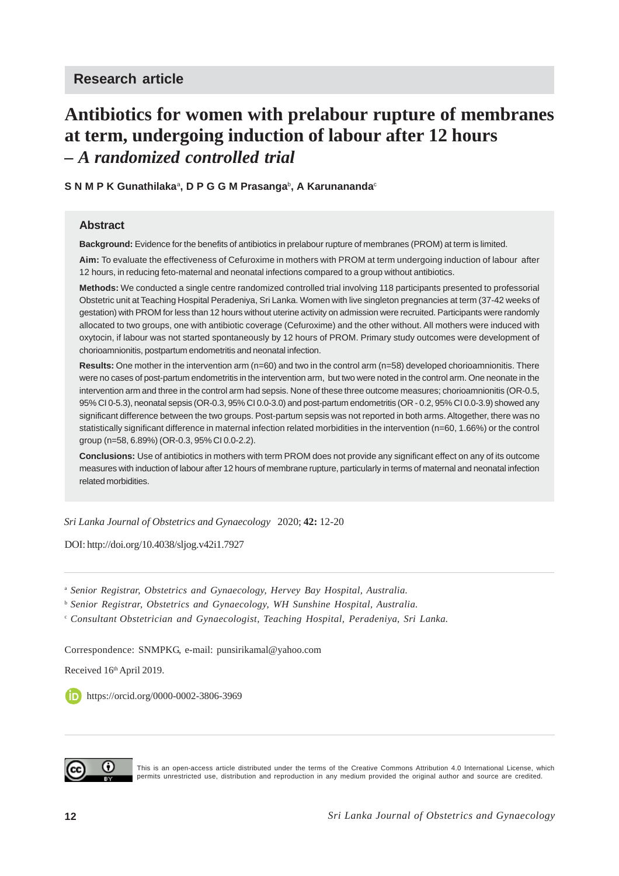# **Antibiotics for women with prelabour rupture of membranes at term, undergoing induction of labour after 12 hours** *– A randomized controlled trial*

 ${\mathbf S}$  N M P K Gunathilakaª, D P G G M Prasangaʰ, A Karunanandaº

#### **Abstract**

**Background:** Evidence for the benefits of antibiotics in prelabour rupture of membranes (PROM) at term is limited.

**Aim:** To evaluate the effectiveness of Cefuroxime in mothers with PROM at term undergoing induction of labour after 12 hours, in reducing feto-maternal and neonatal infections compared to a group without antibiotics.

**Methods:** We conducted a single centre randomized controlled trial involving 118 participants presented to professorial Obstetric unit at Teaching Hospital Peradeniya, Sri Lanka. Women with live singleton pregnancies at term (37-42 weeks of gestation) with PROM for less than 12 hours without uterine activity on admission were recruited. Participants were randomly allocated to two groups, one with antibiotic coverage (Cefuroxime) and the other without. All mothers were induced with oxytocin, if labour was not started spontaneously by 12 hours of PROM. Primary study outcomes were development of chorioamnionitis, postpartum endometritis and neonatal infection.

**Results:** One mother in the intervention arm (n=60) and two in the control arm (n=58) developed chorioamnionitis. There were no cases of post-partum endometritis in the intervention arm, but two were noted in the control arm. One neonate in the intervention arm and three in the control arm had sepsis. None of these three outcome measures; chorioamnionitis (OR-0.5, 95% CI 0-5.3), neonatal sepsis (OR-0.3, 95% CI 0.0-3.0) and post-partum endometritis (OR - 0.2, 95% CI 0.0-3.9) showed any significant difference between the two groups. Post-partum sepsis was not reported in both arms. Altogether, there was no statistically significant difference in maternal infection related morbidities in the intervention (n=60, 1.66%) or the control group (n=58, 6.89%) (OR-0.3, 95% CI 0.0-2.2).

**Conclusions:** Use of antibiotics in mothers with term PROM does not provide any significant effect on any of its outcome measures with induction of labour after 12 hours of membrane rupture, particularly in terms of maternal and neonatal infection related morbidities.

*Sri Lanka Journal of Obstetrics and Gynaecology* 2020; **42:** 12-20

DOI: http://doi.org/10.4038/sljog.v42i1.7927

<sup>a</sup> *Senior Registrar, Obstetrics and Gynaecology, Hervey Bay Hospital, Australia.*

<sup>b</sup> *Senior Registrar, Obstetrics and Gynaecology, WH Sunshine Hospital, Australia.*

<sup>c</sup> *Consultant Obstetrician and Gynaecologist, Teaching Hospital, Peradeniya, Sri Lanka.*

Correspondence: SNMPKG, e-mail: punsirikamal@yahoo.com

Received 16th April 2019.

**b** https://orcid.org/0000-0002-3806-3969



This is an open-access article distributed under the terms of the Creative Commons Attribution 4.0 International License, which permits unrestricted use, distribution and reproduction in any medium provided the original author and source are credited.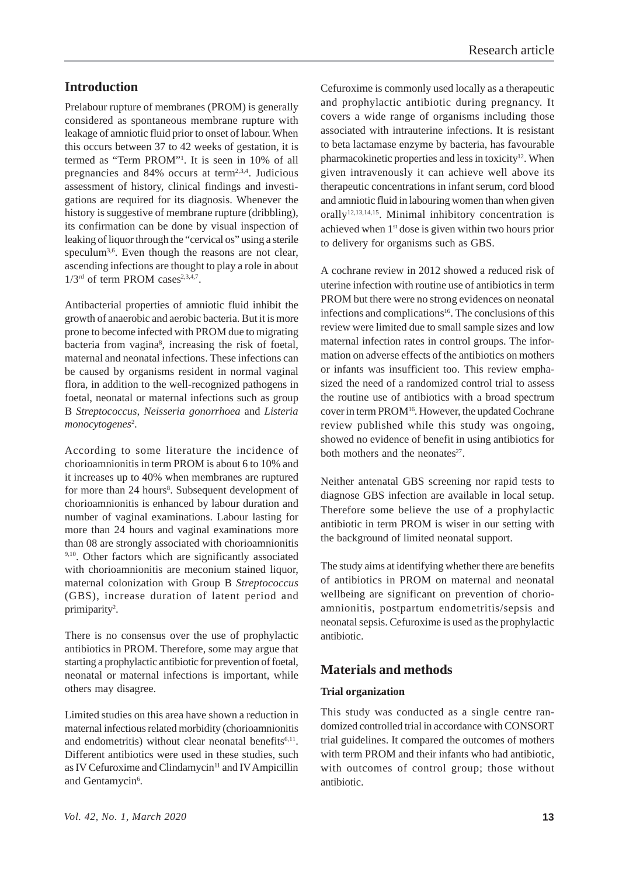## **Introduction**

Prelabour rupture of membranes (PROM) is generally considered as spontaneous membrane rupture with leakage of amniotic fluid prior to onset of labour. When this occurs between 37 to 42 weeks of gestation, it is termed as "Term PROM"1 . It is seen in 10% of all pregnancies and  $84\%$  occurs at term<sup>2,3,4</sup>. Judicious assessment of history, clinical findings and investigations are required for its diagnosis. Whenever the history is suggestive of membrane rupture (dribbling), its confirmation can be done by visual inspection of leaking of liquor through the "cervical os" using a sterile speculum<sup>3,6</sup>. Even though the reasons are not clear, ascending infections are thought to play a role in about  $1/3^{rd}$  of term PROM cases<sup>2,3,4,7</sup>.

Antibacterial properties of amniotic fluid inhibit the growth of anaerobic and aerobic bacteria. But it is more prone to become infected with PROM due to migrating bacteria from vagina<sup>8</sup>, increasing the risk of foetal, maternal and neonatal infections. These infections can be caused by organisms resident in normal vaginal flora, in addition to the well-recognized pathogens in foetal, neonatal or maternal infections such as group B *Streptococcus, Neisseria gonorrhoea* and *Listeria* monocytogenes<sup>2</sup>.

According to some literature the incidence of chorioamnionitis in term PROM is about 6 to 10% and it increases up to 40% when membranes are ruptured for more than 24 hours<sup>8</sup>. Subsequent development of chorioamnionitis is enhanced by labour duration and number of vaginal examinations. Labour lasting for more than 24 hours and vaginal examinations more than 08 are strongly associated with chorioamnionitis 9,10. Other factors which are significantly associated with chorioamnionitis are meconium stained liquor, maternal colonization with Group B *Streptococcus* (GBS), increase duration of latent period and primiparity<sup>2</sup>.

There is no consensus over the use of prophylactic antibiotics in PROM. Therefore, some may argue that starting a prophylactic antibiotic for prevention of foetal, neonatal or maternal infections is important, while others may disagree.

Limited studies on this area have shown a reduction in maternal infectious related morbidity (chorioamnionitis and endometritis) without clear neonatal benefits $6,11$ . Different antibiotics were used in these studies, such as IV Cefuroxime and Clindamycin<sup>11</sup> and IV Ampicillin and Gentamycin<sup>6</sup>.

Cefuroxime is commonly used locally as a therapeutic and prophylactic antibiotic during pregnancy. It covers a wide range of organisms including those associated with intrauterine infections. It is resistant to beta lactamase enzyme by bacteria, has favourable pharmacokinetic properties and less in toxicity<sup>12</sup>. When given intravenously it can achieve well above its therapeutic concentrations in infant serum, cord blood and amniotic fluid in labouring women than when given orally<sup>12,13,14,15</sup>. Minimal inhibitory concentration is achieved when 1st dose is given within two hours prior to delivery for organisms such as GBS.

A cochrane review in 2012 showed a reduced risk of uterine infection with routine use of antibiotics in term PROM but there were no strong evidences on neonatal infections and complications<sup>16</sup>. The conclusions of this review were limited due to small sample sizes and low maternal infection rates in control groups. The information on adverse effects of the antibiotics on mothers or infants was insufficient too. This review emphasized the need of a randomized control trial to assess the routine use of antibiotics with a broad spectrum cover in term PROM16. However, the updated Cochrane review published while this study was ongoing, showed no evidence of benefit in using antibiotics for both mothers and the neonates $27$ .

Neither antenatal GBS screening nor rapid tests to diagnose GBS infection are available in local setup. Therefore some believe the use of a prophylactic antibiotic in term PROM is wiser in our setting with the background of limited neonatal support.

The study aims at identifying whether there are benefits of antibiotics in PROM on maternal and neonatal wellbeing are significant on prevention of chorioamnionitis, postpartum endometritis/sepsis and neonatal sepsis. Cefuroxime is used as the prophylactic antibiotic.

## **Materials and methods**

#### **Trial organization**

This study was conducted as a single centre randomized controlled trial in accordance with CONSORT trial guidelines. It compared the outcomes of mothers with term PROM and their infants who had antibiotic, with outcomes of control group; those without antibiotic.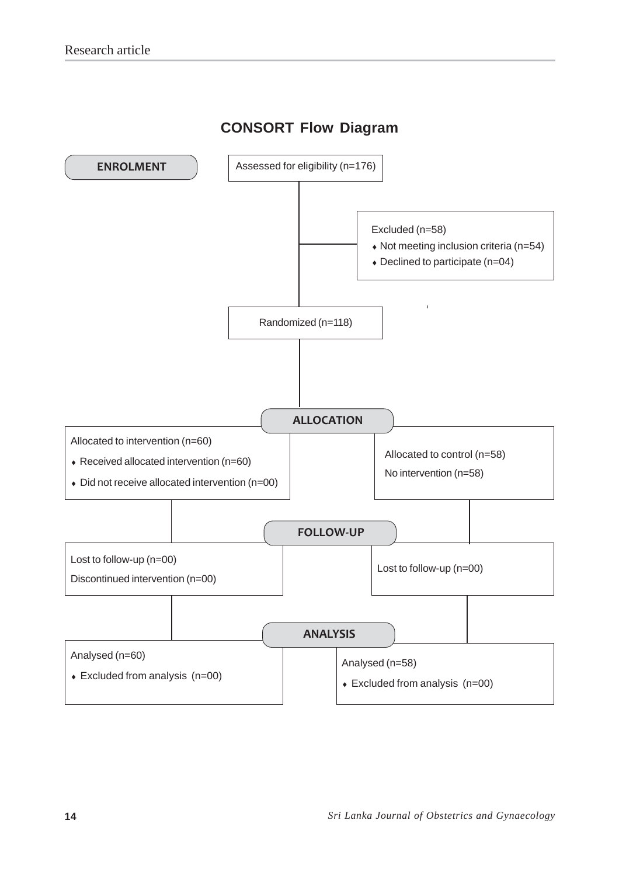# **CONSORT Flow Diagram**

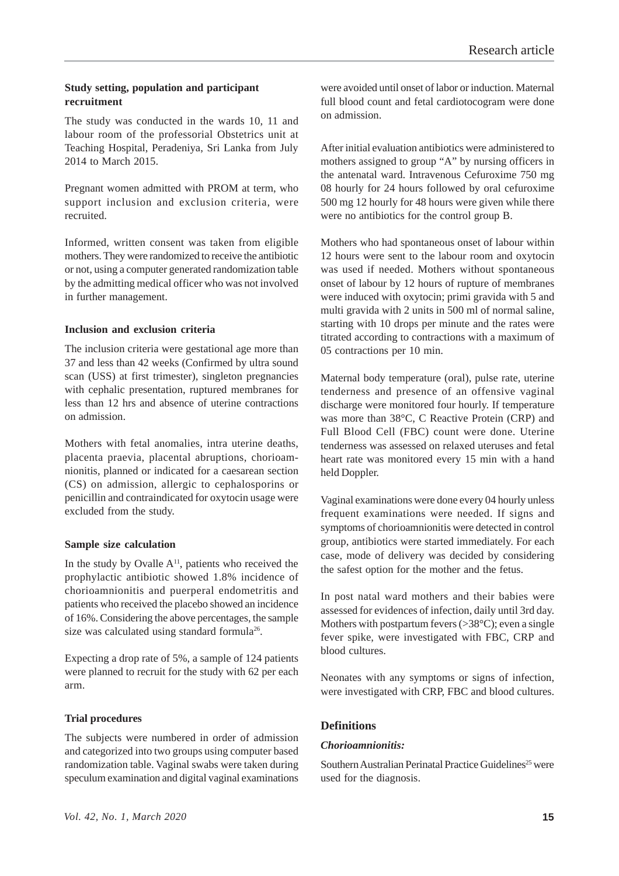#### **Study setting, population and participant recruitment**

The study was conducted in the wards 10, 11 and labour room of the professorial Obstetrics unit at Teaching Hospital, Peradeniya, Sri Lanka from July 2014 to March 2015.

Pregnant women admitted with PROM at term, who support inclusion and exclusion criteria, were recruited.

Informed, written consent was taken from eligible mothers. They were randomized to receive the antibiotic or not, using a computer generated randomization table by the admitting medical officer who was not involved in further management.

#### **Inclusion and exclusion criteria**

The inclusion criteria were gestational age more than 37 and less than 42 weeks (Confirmed by ultra sound scan (USS) at first trimester), singleton pregnancies with cephalic presentation, ruptured membranes for less than 12 hrs and absence of uterine contractions on admission.

Mothers with fetal anomalies, intra uterine deaths, placenta praevia, placental abruptions, chorioamnionitis, planned or indicated for a caesarean section (CS) on admission, allergic to cephalosporins or penicillin and contraindicated for oxytocin usage were excluded from the study.

#### **Sample size calculation**

In the study by Ovalle  $A<sup>11</sup>$ , patients who received the prophylactic antibiotic showed 1.8% incidence of chorioamnionitis and puerperal endometritis and patients who received the placebo showed an incidence of 16%. Considering the above percentages, the sample size was calculated using standard formula<sup>26</sup>.

Expecting a drop rate of 5%, a sample of 124 patients were planned to recruit for the study with 62 per each arm.

#### **Trial procedures**

The subjects were numbered in order of admission and categorized into two groups using computer based randomization table. Vaginal swabs were taken during speculum examination and digital vaginal examinations

were avoided until onset of labor or induction. Maternal full blood count and fetal cardiotocogram were done on admission.

After initial evaluation antibiotics were administered to mothers assigned to group "A" by nursing officers in the antenatal ward. Intravenous Cefuroxime 750 mg 08 hourly for 24 hours followed by oral cefuroxime 500 mg 12 hourly for 48 hours were given while there were no antibiotics for the control group B.

Mothers who had spontaneous onset of labour within 12 hours were sent to the labour room and oxytocin was used if needed. Mothers without spontaneous onset of labour by 12 hours of rupture of membranes were induced with oxytocin; primi gravida with 5 and multi gravida with 2 units in 500 ml of normal saline, starting with 10 drops per minute and the rates were titrated according to contractions with a maximum of 05 contractions per 10 min.

Maternal body temperature (oral), pulse rate, uterine tenderness and presence of an offensive vaginal discharge were monitored four hourly. If temperature was more than 38°C, C Reactive Protein (CRP) and Full Blood Cell (FBC) count were done. Uterine tenderness was assessed on relaxed uteruses and fetal heart rate was monitored every 15 min with a hand held Doppler.

Vaginal examinations were done every 04 hourly unless frequent examinations were needed. If signs and symptoms of chorioamnionitis were detected in control group, antibiotics were started immediately. For each case, mode of delivery was decided by considering the safest option for the mother and the fetus.

In post natal ward mothers and their babies were assessed for evidences of infection, daily until 3rd day. Mothers with postpartum fevers  $(>38^{\circ}C)$ ; even a single fever spike, were investigated with FBC, CRP and blood cultures.

Neonates with any symptoms or signs of infection, were investigated with CRP, FBC and blood cultures.

#### **Definitions**

#### *Chorioamnionitis:*

Southern Australian Perinatal Practice Guidelines<sup>25</sup> were used for the diagnosis.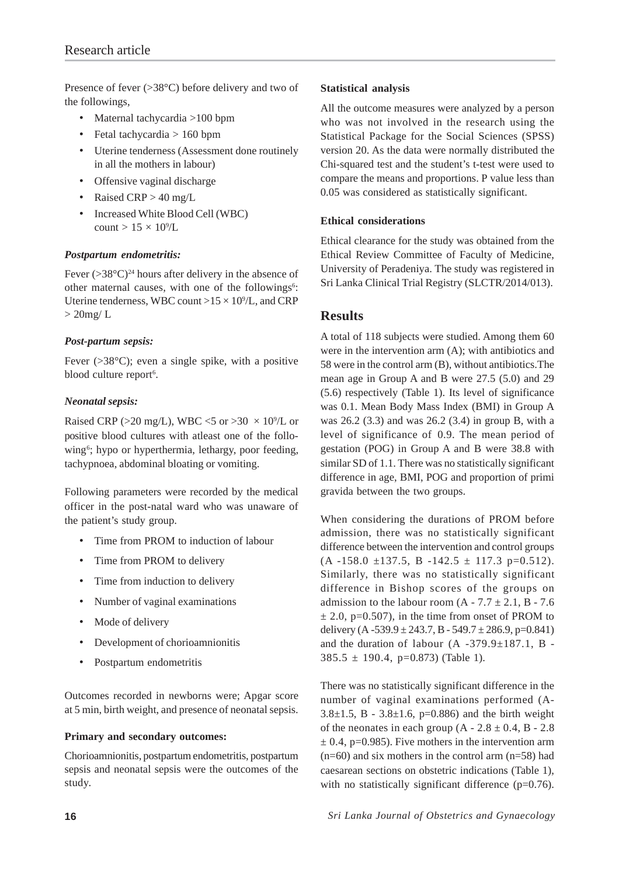Presence of fever  $(>38^{\circ}C)$  before delivery and two of the followings,

- Maternal tachycardia >100 bpm
- Fetal tachycardia  $> 160$  bpm
- Uterine tenderness (Assessment done routinely in all the mothers in labour)
- Offensive vaginal discharge
- Raised CRP > 40 mg/L
- Increased White Blood Cell (WBC) count  $> 15 \times 10^9$ /L

#### *Postpartum endometritis:*

Fever  $(>\frac{38}{\circ}C)^{24}$  hours after delivery in the absence of other maternal causes, with one of the followings<sup>6</sup>: Uterine tenderness, WBC count  $>15 \times 10^9$ /L, and CRP  $> 20$ mg/L

#### *Post-partum sepsis:*

Fever  $(>\!\!38^{\circ}\mathsf{C})$ ; even a single spike, with a positive blood culture report<sup>6</sup>.

#### *Neonatal sepsis:*

Raised CRP ( $>$ 20 mg/L), WBC <5 or  $>$ 30  $\times$  10<sup>9</sup>/L or positive blood cultures with atleast one of the following<sup>6</sup>; hypo or hyperthermia, lethargy, poor feeding, tachypnoea, abdominal bloating or vomiting.

Following parameters were recorded by the medical officer in the post-natal ward who was unaware of the patient's study group.

- Time from PROM to induction of labour
- Time from PROM to delivery
- Time from induction to delivery
- Number of vaginal examinations
- Mode of delivery
- Development of chorioamnionitis
- Postpartum endometritis

Outcomes recorded in newborns were; Apgar score at 5 min, birth weight, and presence of neonatal sepsis.

#### **Primary and secondary outcomes:**

Chorioamnionitis, postpartum endometritis, postpartum sepsis and neonatal sepsis were the outcomes of the study.

#### **Statistical analysis**

All the outcome measures were analyzed by a person who was not involved in the research using the Statistical Package for the Social Sciences (SPSS) version 20. As the data were normally distributed the Chi-squared test and the student's t-test were used to compare the means and proportions. P value less than 0.05 was considered as statistically significant.

#### **Ethical considerations**

Ethical clearance for the study was obtained from the Ethical Review Committee of Faculty of Medicine, University of Peradeniya. The study was registered in Sri Lanka Clinical Trial Registry (SLCTR/2014/013).

### **Results**

A total of 118 subjects were studied. Among them 60 were in the intervention arm  $(A)$ ; with antibiotics and 58 were in the control arm (B), without antibiotics.The mean age in Group A and B were 27.5 (5.0) and 29 (5.6) respectively (Table 1). Its level of significance was 0.1. Mean Body Mass Index (BMI) in Group A was 26.2 (3.3) and was 26.2 (3.4) in group B, with a level of significance of 0.9. The mean period of gestation (POG) in Group A and B were 38.8 with similar SD of 1.1. There was no statistically significant difference in age, BMI, POG and proportion of primi gravida between the two groups.

When considering the durations of PROM before admission, there was no statistically significant difference between the intervention and control groups  $(A -158.0 \pm 137.5, B -142.5 \pm 117.3 p=0.512).$ Similarly, there was no statistically significant difference in Bishop scores of the groups on admission to the labour room  $(A - 7.7 \pm 2.1, B - 7.6)$  $\pm$  2.0, p=0.507), in the time from onset of PROM to delivery  $(A - 539.9 \pm 243.7, B - 549.7 \pm 286.9, p=0.841)$ and the duration of labour  $(A -379.9 \pm 187.1, B 385.5 \pm 190.4$ , p=0.873) (Table 1).

There was no statistically significant difference in the number of vaginal examinations performed (A-3.8 $\pm$ 1.5, B - 3.8 $\pm$ 1.6, p=0.886) and the birth weight of the neonates in each group  $(A - 2.8 \pm 0.4, B - 2.8)$  $\pm$  0.4, p=0.985). Five mothers in the intervention arm  $(n=60)$  and six mothers in the control arm  $(n=58)$  had caesarean sections on obstetric indications (Table 1), with no statistically significant difference (p=0.76).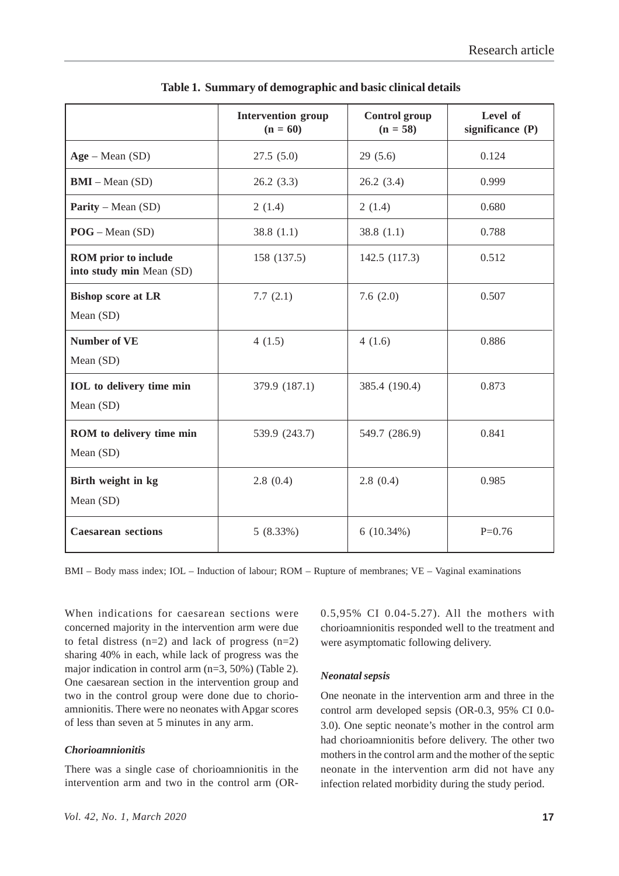|                                                         | <b>Intervention group</b><br>$(n = 60)$ | <b>Control</b> group<br>$(n = 58)$ | Level of<br>significance (P) |
|---------------------------------------------------------|-----------------------------------------|------------------------------------|------------------------------|
| $Age - Mean (SD)$                                       | 27.5(5.0)                               | 29(5.6)                            | 0.124                        |
| $BMI - Mean(SD)$                                        | 26.2(3.3)                               | 26.2(3.4)                          | 0.999                        |
| <b>Parity</b> – Mean $(SD)$                             | 2(1.4)                                  | 2(1.4)                             | 0.680                        |
| $POG - Mean(SD)$                                        | 38.8(1.1)                               | 38.8 $(1.1)$                       | 0.788                        |
| <b>ROM</b> prior to include<br>into study min Mean (SD) | 158 (137.5)                             | 142.5 (117.3)                      | 0.512                        |
| <b>Bishop score at LR</b><br>Mean (SD)                  | 7.7(2.1)                                | 7.6(2.0)                           | 0.507                        |
| <b>Number of VE</b><br>Mean (SD)                        | 4(1.5)                                  | 4(1.6)                             | 0.886                        |
| <b>IOL</b> to delivery time min<br>Mean (SD)            | 379.9 (187.1)                           | 385.4 (190.4)                      | 0.873                        |
| ROM to delivery time min<br>Mean (SD)                   | 539.9 (243.7)                           | 549.7 (286.9)                      | 0.841                        |
| Birth weight in kg<br>Mean (SD)                         | 2.8(0.4)                                | 2.8(0.4)                           | 0.985                        |
| <b>Caesarean sections</b>                               | 5(8.33%)                                | 6(10.34%)                          | $P=0.76$                     |

**Table 1. Summary of demographic and basic clinical details**

BMI – Body mass index; IOL – Induction of labour; ROM – Rupture of membranes; VE – Vaginal examinations

When indications for caesarean sections were concerned majority in the intervention arm were due to fetal distress  $(n=2)$  and lack of progress  $(n=2)$ sharing 40% in each, while lack of progress was the major indication in control arm (n=3, 50%) (Table 2). One caesarean section in the intervention group and two in the control group were done due to chorioamnionitis. There were no neonates with Apgar scores of less than seven at 5 minutes in any arm.

#### *Chorioamnionitis*

There was a single case of chorioamnionitis in the intervention arm and two in the control arm (OR- 0.5,95% CI 0.04-5.27). All the mothers with chorioamnionitis responded well to the treatment and were asymptomatic following delivery.

#### *Neonatal sepsis*

One neonate in the intervention arm and three in the control arm developed sepsis (OR-0.3, 95% CI 0.0- 3.0). One septic neonate's mother in the control arm had chorioamnionitis before delivery. The other two mothers in the control arm and the mother of the septic neonate in the intervention arm did not have any infection related morbidity during the study period.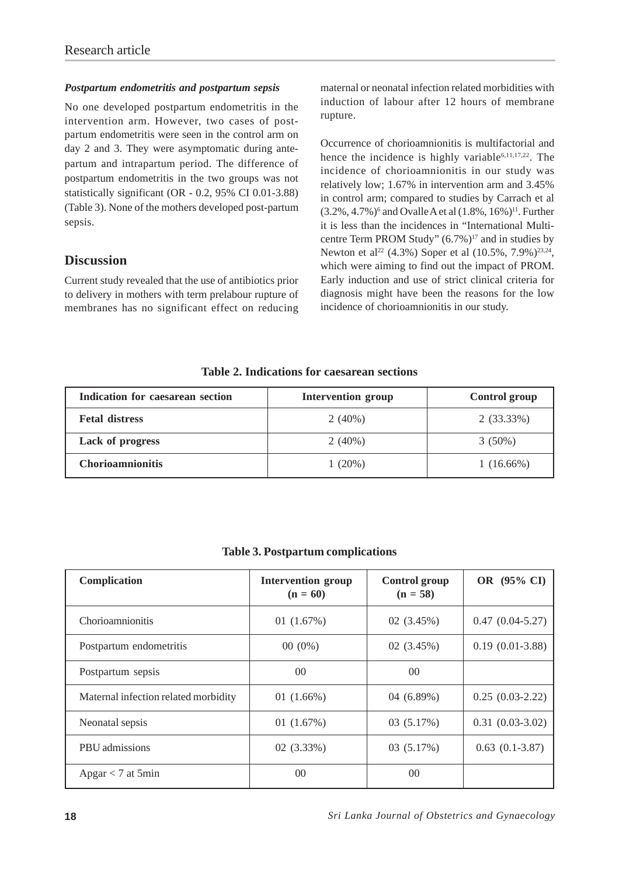#### *Postpartum endometritis and postpartum sepsis*

No one developed postpartum endometritis in the intervention arm. However, two cases of postpartum endometritis were seen in the control arm on day 2 and 3. They were asymptomatic during antepartum and intrapartum period. The difference of postpartum endometritis in the two groups was not statistically significant (OR - 0.2, 95% CI 0.01-3.88) (Table 3). None of the mothers developed post-partum sepsis.

### **Discussion**

Current study revealed that the use of antibiotics prior to delivery in mothers with term prelabour rupture of membranes has no significant effect on reducing maternal or neonatal infection related morbidities with induction of labour after 12 hours of membrane rupture.

Occurrence of chorioamnionitis is multifactorial and hence the incidence is highly variable<sup>6,11,17,22</sup>. The incidence of chorioamnionitis in our study was relatively low; 1.67% in intervention arm and 3.45% in control arm; compared to studies by Carrach et al  $(3.2\%, 4.7\%)$ <sup>6</sup> and Ovalle A et al  $(1.8\%, 16\%)$ <sup>11</sup>. Further it is less than the incidences in "International Multicentre Term PROM Study" (6.7%)<sup>17</sup> and in studies by Newton et al<sup>22</sup> (4.3%) Soper et al (10.5%, 7.9%)<sup>23,24</sup>, which were aiming to find out the impact of PROM. Early induction and use of strict clinical criteria for diagnosis might have been the reasons for the low incidence of chorioamnionitis in our study.

#### **Table 2. Indications for caesarean sections**

| Indication for caesarean section | <b>Intervention group</b> | Control group |
|----------------------------------|---------------------------|---------------|
| <b>Fetal distress</b>            | $2(40\%)$                 | 2(33.33%)     |
| <b>Lack of progress</b>          | $2(40\%)$                 | $3(50\%)$     |
| <b>Chorioamnionitis</b>          | 1 (20%)                   | $1(16.66\%)$  |

#### **Table 3. Postpartum complications**

| Complication                         | <b>Intervention group</b><br>$(n = 60)$ | <b>Control group</b><br>$(n = 58)$ | OR (95% CI)           |
|--------------------------------------|-----------------------------------------|------------------------------------|-----------------------|
| <b>Chorioamnionitis</b>              | 01 $(1.67%)$                            | 02(3.45%)                          | $0.47(0.04-5.27)$     |
| Postpartum endometritis              | $00(0\%)$                               | 02(3.45%)                          | $0.19(0.01-3.88)$     |
| Postpartum sepsis                    | 0 <sup>0</sup>                          | $00\,$                             |                       |
| Maternal infection related morbidity | 01 $(1.66\%)$                           | 04(6.89%)                          | $0.25(0.03-2.22)$     |
| Neonatal sepsis                      | 01 $(1.67%)$                            | 03 (5.17%)                         | $0.31(0.03-3.02)$     |
| PBU admissions                       | $02(3.33\%)$                            | 03 (5.17%)                         | $0.63$ $(0.1 - 3.87)$ |
| Apgar $<$ 7 at 5min                  | 0 <sup>0</sup>                          | 0 <sup>0</sup>                     |                       |

**18** *Sri Lanka Journal of Obstetrics and Gynaecology*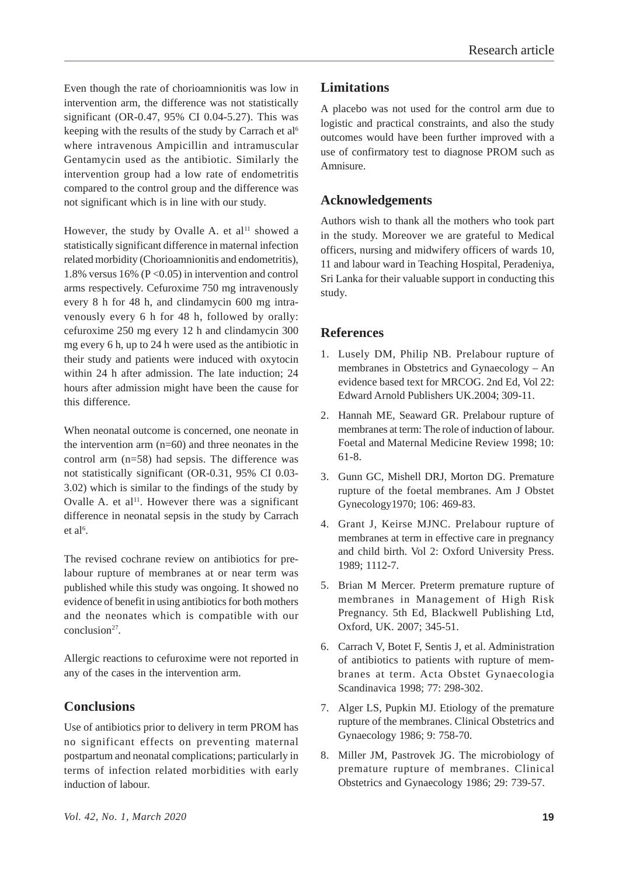Even though the rate of chorioamnionitis was low in intervention arm, the difference was not statistically significant (OR-0.47, 95% CI 0.04-5.27). This was keeping with the results of the study by Carrach et al<sup>6</sup> where intravenous Ampicillin and intramuscular Gentamycin used as the antibiotic. Similarly the intervention group had a low rate of endometritis compared to the control group and the difference was not significant which is in line with our study.

However, the study by Ovalle A. et al<sup>11</sup> showed a statistically significant difference in maternal infection related morbidity (Chorioamnionitis and endometritis), 1.8% versus 16% ( $P \le 0.05$ ) in intervention and control arms respectively. Cefuroxime 750 mg intravenously every 8 h for 48 h, and clindamycin 600 mg intravenously every 6 h for 48 h, followed by orally: cefuroxime 250 mg every 12 h and clindamycin 300 mg every 6 h, up to 24 h were used as the antibiotic in their study and patients were induced with oxytocin within 24 h after admission. The late induction; 24 hours after admission might have been the cause for this difference.

When neonatal outcome is concerned, one neonate in the intervention arm  $(n=60)$  and three neonates in the control arm (n=58) had sepsis. The difference was not statistically significant (OR-0.31, 95% CI 0.03- 3.02) which is similar to the findings of the study by Ovalle A. et al<sup>11</sup>. However there was a significant difference in neonatal sepsis in the study by Carrach  $et$  al<sup>6</sup>.

The revised cochrane review on antibiotics for prelabour rupture of membranes at or near term was published while this study was ongoing. It showed no evidence of benefit in using antibiotics for both mothers and the neonates which is compatible with our conclusion27.

Allergic reactions to cefuroxime were not reported in any of the cases in the intervention arm.

## **Conclusions**

Use of antibiotics prior to delivery in term PROM has no significant effects on preventing maternal postpartum and neonatal complications; particularly in terms of infection related morbidities with early induction of labour.

# **Limitations**

A placebo was not used for the control arm due to logistic and practical constraints, and also the study outcomes would have been further improved with a use of confirmatory test to diagnose PROM such as Amnisure.

# **Acknowledgements**

Authors wish to thank all the mothers who took part in the study. Moreover we are grateful to Medical officers, nursing and midwifery officers of wards 10, 11 and labour ward in Teaching Hospital, Peradeniya, Sri Lanka for their valuable support in conducting this study.

## **References**

- 1. Lusely DM, Philip NB. Prelabour rupture of membranes in Obstetrics and Gynaecology – An evidence based text for MRCOG. 2nd Ed, Vol 22: Edward Arnold Publishers UK.2004; 309-11.
- 2. Hannah ME, Seaward GR. Prelabour rupture of membranes at term: The role of induction of labour. Foetal and Maternal Medicine Review 1998; 10: 61-8.
- 3. Gunn GC, Mishell DRJ, Morton DG. Premature rupture of the foetal membranes. Am J Obstet Gynecology1970; 106: 469-83.
- 4. Grant J, Keirse MJNC. Prelabour rupture of membranes at term in effective care in pregnancy and child birth. Vol 2: Oxford University Press. 1989; 1112-7.
- 5. Brian M Mercer. Preterm premature rupture of membranes in Management of High Risk Pregnancy. 5th Ed, Blackwell Publishing Ltd, Oxford, UK. 2007; 345-51.
- 6. Carrach V, Botet F, Sentis J, et al. Administration of antibiotics to patients with rupture of membranes at term. Acta Obstet Gynaecologia Scandinavica 1998; 77: 298-302.
- 7. Alger LS, Pupkin MJ. Etiology of the premature rupture of the membranes. Clinical Obstetrics and Gynaecology 1986; 9: 758-70.
- 8. Miller JM, Pastrovek JG. The microbiology of premature rupture of membranes. Clinical Obstetrics and Gynaecology 1986; 29: 739-57.